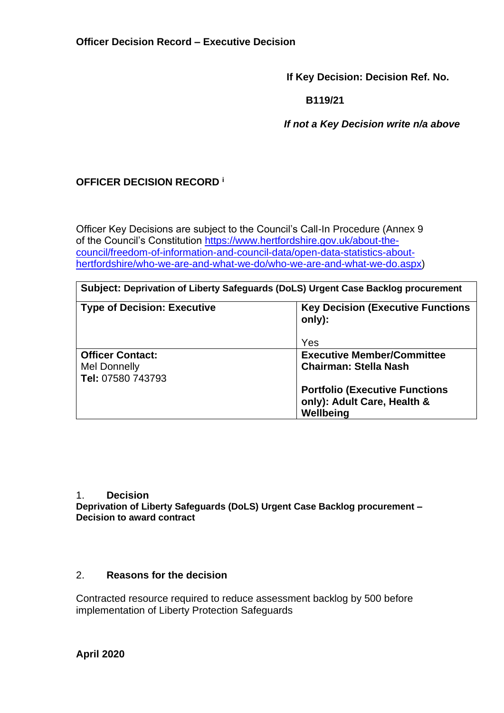**If Key Decision: Decision Ref. No.**

 **B119/21**

 *If not a Key Decision write n/a above*

# **OFFICER DECISION RECORD <sup>i</sup>**

Officer Key Decisions are subject to the Council's Call-In Procedure (Annex 9 of the Council's Constitution [https://www.hertfordshire.gov.uk/about-the](https://www.hertfordshire.gov.uk/about-the-council/freedom-of-information-and-council-data/open-data-statistics-about-hertfordshire/who-we-are-and-what-we-do/who-we-are-and-what-we-do.aspx)[council/freedom-of-information-and-council-data/open-data-statistics-about](https://www.hertfordshire.gov.uk/about-the-council/freedom-of-information-and-council-data/open-data-statistics-about-hertfordshire/who-we-are-and-what-we-do/who-we-are-and-what-we-do.aspx)[hertfordshire/who-we-are-and-what-we-do/who-we-are-and-what-we-do.aspx\)](https://www.hertfordshire.gov.uk/about-the-council/freedom-of-information-and-council-data/open-data-statistics-about-hertfordshire/who-we-are-and-what-we-do/who-we-are-and-what-we-do.aspx)

### **Subject: Deprivation of Liberty Safeguards (DoLS) Urgent Case Backlog procurement**

| <b>Type of Decision: Executive</b>                                  | <b>Key Decision (Executive Functions)</b><br>only):<br>Yes                        |
|---------------------------------------------------------------------|-----------------------------------------------------------------------------------|
| <b>Officer Contact:</b><br><b>Mel Donnelly</b><br>Tel: 07580 743793 | <b>Executive Member/Committee</b><br><b>Chairman: Stella Nash</b>                 |
|                                                                     | <b>Portfolio (Executive Functions</b><br>only): Adult Care, Health &<br>Wellbeing |

#### 1. **Decision**

**Deprivation of Liberty Safeguards (DoLS) Urgent Case Backlog procurement – Decision to award contract**

### 2. **Reasons for the decision**

Contracted resource required to reduce assessment backlog by 500 before implementation of Liberty Protection Safeguards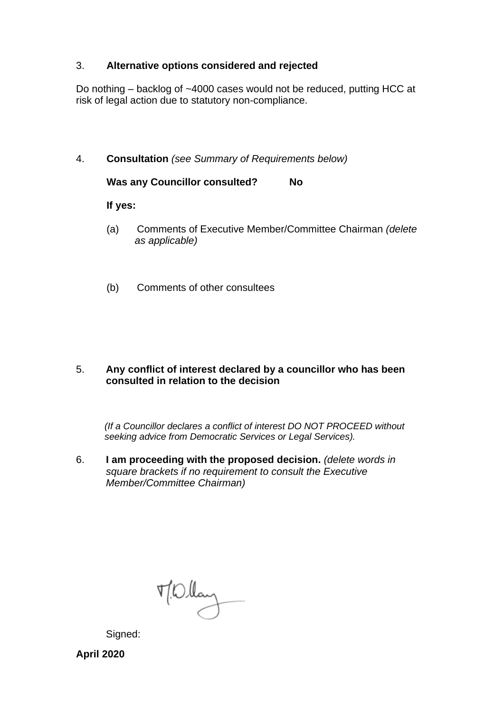# 3. **Alternative options considered and rejected**

Do nothing – backlog of ~4000 cases would not be reduced, putting HCC at risk of legal action due to statutory non-compliance.

4. **Consultation** *(see Summary of Requirements below)*

**Was any Councillor consulted? No** 

### **If yes:**

- (a) Comments of Executive Member/Committee Chairman *(delete as applicable)*
- (b) Comments of other consultees

# 5. **Any conflict of interest declared by a councillor who has been consulted in relation to the decision**

 *(If a Councillor declares a conflict of interest DO NOT PROCEED without seeking advice from Democratic Services or Legal Services).* 

6. **I am proceeding with the proposed decision.** *(delete words in square brackets if no requirement to consult the Executive Member/Committee Chairman)*

 $\n *W*  $\left(\frac{1}{2}\right)$   $\left(\frac{1}{2}\right)$$ 

Signed:

**April 2020**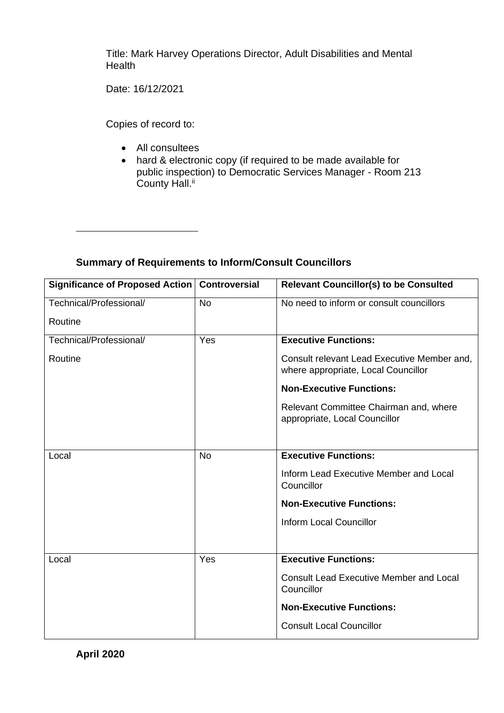Title: Mark Harvey Operations Director, Adult Disabilities and Mental **Health** 

Date: 16/12/2021

Copies of record to:

- All consultees
- hard & electronic copy (if required to be made available for public inspection) to Democratic Services Manager - Room 213 County Hall.<sup>ii</sup>

| <b>Summary of Requirements to Inform/Consult Councillors</b> |  |
|--------------------------------------------------------------|--|
|--------------------------------------------------------------|--|

| <b>Significance of Proposed Action</b> | <b>Controversial</b> | <b>Relevant Councillor(s) to be Consulted</b>                                      |
|----------------------------------------|----------------------|------------------------------------------------------------------------------------|
| Technical/Professional/                | <b>No</b>            | No need to inform or consult councillors                                           |
| Routine                                |                      |                                                                                    |
| Technical/Professional/                | Yes                  | <b>Executive Functions:</b>                                                        |
| Routine                                |                      | Consult relevant Lead Executive Member and,<br>where appropriate, Local Councillor |
|                                        |                      | <b>Non-Executive Functions:</b>                                                    |
|                                        |                      | Relevant Committee Chairman and, where<br>appropriate, Local Councillor            |
|                                        |                      |                                                                                    |
| Local                                  | <b>No</b>            | <b>Executive Functions:</b>                                                        |
|                                        |                      | Inform Lead Executive Member and Local<br>Councillor                               |
|                                        |                      | <b>Non-Executive Functions:</b>                                                    |
|                                        |                      | <b>Inform Local Councillor</b>                                                     |
|                                        |                      |                                                                                    |
| Local                                  | Yes                  | <b>Executive Functions:</b>                                                        |
|                                        |                      | <b>Consult Lead Executive Member and Local</b><br>Councillor                       |
|                                        |                      | <b>Non-Executive Functions:</b>                                                    |
|                                        |                      | <b>Consult Local Councillor</b>                                                    |